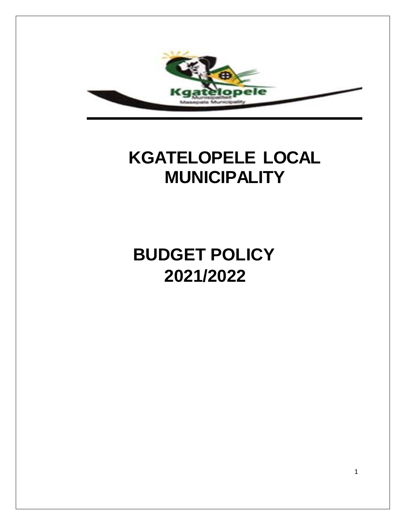

## **KGATELOPELE LOCAL MUNICIPALITY**

# **BUDGET POLICY 2021/2022**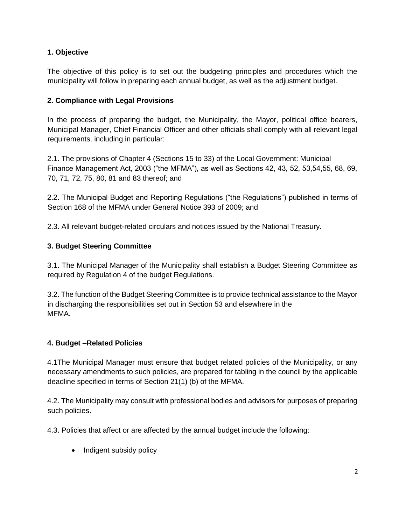## **1. Objective**

The objective of this policy is to set out the budgeting principles and procedures which the municipality will follow in preparing each annual budget, as well as the adjustment budget.

## **2. Compliance with Legal Provisions**

In the process of preparing the budget, the Municipality, the Mayor, political office bearers, Municipal Manager, Chief Financial Officer and other officials shall comply with all relevant legal requirements, including in particular:

2.1. The provisions of Chapter 4 (Sections 15 to 33) of the Local Government: Municipal Finance Management Act, 2003 ("the MFMA"), as well as Sections 42, 43, 52, 53,54,55, 68, 69, 70, 71, 72, 75, 80, 81 and 83 thereof; and

2.2. The Municipal Budget and Reporting Regulations ("the Regulations") published in terms of Section 168 of the MFMA under General Notice 393 of 2009; and

2.3. All relevant budget-related circulars and notices issued by the National Treasury.

## **3. Budget Steering Committee**

3.1. The Municipal Manager of the Municipality shall establish a Budget Steering Committee as required by Regulation 4 of the budget Regulations.

3.2. The function of the Budget Steering Committee is to provide technical assistance to the Mayor in discharging the responsibilities set out in Section 53 and elsewhere in the MFMA.

## **4. Budget –Related Policies**

4.1The Municipal Manager must ensure that budget related policies of the Municipality, or any necessary amendments to such policies, are prepared for tabling in the council by the applicable deadline specified in terms of Section 21(1) (b) of the MFMA.

4.2. The Municipality may consult with professional bodies and advisors for purposes of preparing such policies.

4.3. Policies that affect or are affected by the annual budget include the following:

• Indigent subsidy policy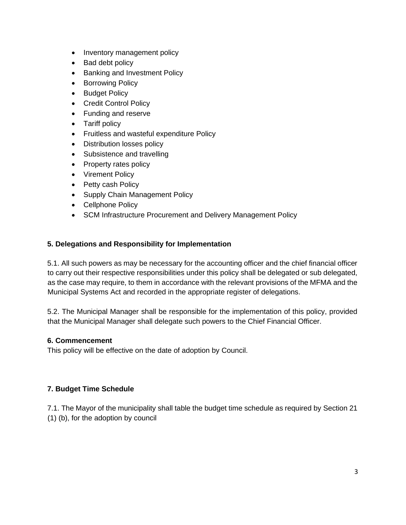- Inventory management policy
- Bad debt policy
- Banking and Investment Policy
- Borrowing Policy
- Budget Policy
- Credit Control Policy
- Funding and reserve
- Tariff policy
- Fruitless and wasteful expenditure Policy
- Distribution losses policy
- Subsistence and travelling
- Property rates policy
- Virement Policy
- Petty cash Policy
- Supply Chain Management Policy
- Cellphone Policy
- SCM Infrastructure Procurement and Delivery Management Policy

## **5. Delegations and Responsibility for Implementation**

5.1. All such powers as may be necessary for the accounting officer and the chief financial officer to carry out their respective responsibilities under this policy shall be delegated or sub delegated, as the case may require, to them in accordance with the relevant provisions of the MFMA and the Municipal Systems Act and recorded in the appropriate register of delegations.

5.2. The Municipal Manager shall be responsible for the implementation of this policy, provided that the Municipal Manager shall delegate such powers to the Chief Financial Officer.

#### **6. Commencement**

This policy will be effective on the date of adoption by Council.

## **7. Budget Time Schedule**

7.1. The Mayor of the municipality shall table the budget time schedule as required by Section 21 (1) (b), for the adoption by council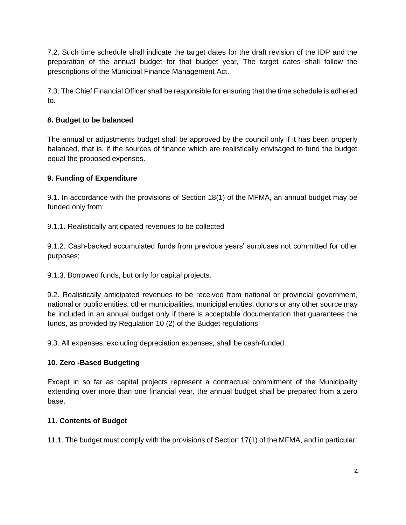7.2. Such time schedule shall indicate the target dates for the draft revision of the IDP and the preparation of the annual budget for that budget year, The target dates shall follow the prescriptions of the Municipal Finance Management Act.

7.3. The Chief Financial Officer shall be responsible for ensuring that the time schedule is adhered to.

## **8. Budget to be balanced**

The annual or adjustments budget shall be approved by the council only if it has been properly balanced, that is, if the sources of finance which are realistically envisaged to fund the budget equal the proposed expenses.

## **9. Funding of Expenditure**

9.1. In accordance with the provisions of Section 18(1) of the MFMA, an annual budget may be funded only from:

9.1.1. Realistically anticipated revenues to be collected

9.1.2. Cash-backed accumulated funds from previous years' surpluses not committed for other purposes;

9.1.3. Borrowed funds, but only for capital projects.

9.2. Realistically anticipated revenues to be received from national or provincial government, national or public entities, other municipalities, municipal entities, donors or any other source may be included in an annual budget only if there is acceptable documentation that guarantees the funds, as provided by Regulation 10 (2) of the Budget regulations

9.3. All expenses, excluding depreciation expenses, shall be cash-funded.

## **10. Zero -Based Budgeting**

Except in so far as capital projects represent a contractual commitment of the Municipality extending over more than one financial year, the annual budget shall be prepared from a zero base.

## **11. Contents of Budget**

11.1. The budget must comply with the provisions of Section 17(1) of the MFMA, and in particular: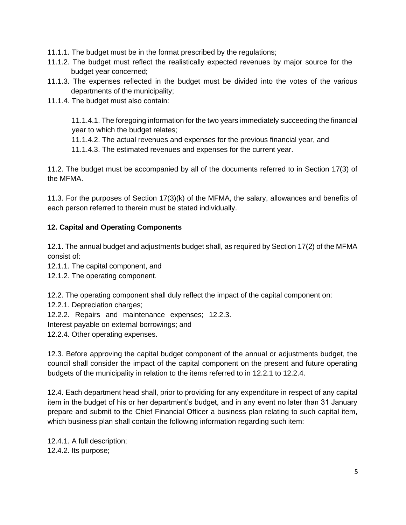- 11.1.1. The budget must be in the format prescribed by the regulations;
- 11.1.2. The budget must reflect the realistically expected revenues by major source for the budget year concerned;
- 11.1.3. The expenses reflected in the budget must be divided into the votes of the various departments of the municipality;
- 11.1.4. The budget must also contain:

11.1.4.1. The foregoing information for the two years immediately succeeding the financial year to which the budget relates;

11.1.4.2. The actual revenues and expenses for the previous financial year, and

11.1.4.3. The estimated revenues and expenses for the current year.

11.2. The budget must be accompanied by all of the documents referred to in Section 17(3) of the MFMA.

11.3. For the purposes of Section 17(3)(k) of the MFMA, the salary, allowances and benefits of each person referred to therein must be stated individually.

#### **12. Capital and Operating Components**

12.1. The annual budget and adjustments budget shall, as required by Section 17(2) of the MFMA consist of:

12.1.1. The capital component, and

12.1.2. The operating component.

12.2. The operating component shall duly reflect the impact of the capital component on:

12.2.1. Depreciation charges;

12.2.2. Repairs and maintenance expenses; 12.2.3.

Interest payable on external borrowings; and

12.2.4. Other operating expenses.

12.3. Before approving the capital budget component of the annual or adjustments budget, the council shall consider the impact of the capital component on the present and future operating budgets of the municipality in relation to the items referred to in 12.2.1 to 12.2.4.

12.4. Each department head shall, prior to providing for any expenditure in respect of any capital item in the budget of his or her department's budget, and in any event no later than 31 January prepare and submit to the Chief Financial Officer a business plan relating to such capital item, which business plan shall contain the following information regarding such item:

12.4.1. A full description; 12.4.2. Its purpose;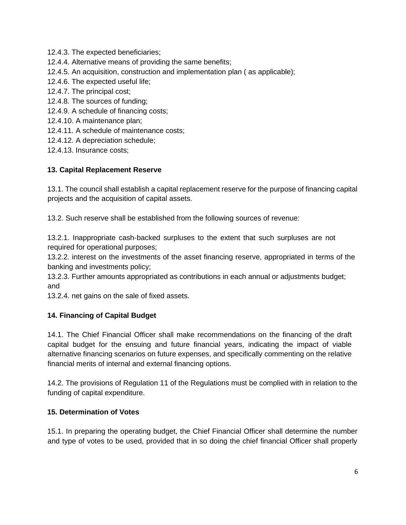- 12.4.3. The expected beneficiaries;
- 12.4.4. Alternative means of providing the same benefits;
- 12.4.5. An acquisition, construction and implementation plan ( as applicable);
- 12.4.6. The expected useful life;
- 12.4.7. The principal cost;
- 12.4.8. The sources of funding;
- 12.4.9. A schedule of financing costs;
- 12.4.10. A maintenance plan;
- 12.4.11. A schedule of maintenance costs;
- 12.4.12. A depreciation schedule;
- 12.4.13. Insurance costs;

#### **13. Capital Replacement Reserve**

13.1. The council shall establish a capital replacement reserve for the purpose of financing capital projects and the acquisition of capital assets.

13.2. Such reserve shall be established from the following sources of revenue:

13.2.1. Inappropriate cash-backed surpluses to the extent that such surpluses are not required for operational purposes;

13.2.2. interest on the investments of the asset financing reserve, appropriated in terms of the banking and investments policy;

13.2.3. Further amounts appropriated as contributions in each annual or adjustments budget; and

13.2.4. net gains on the sale of fixed assets.

## **14. Financing of Capital Budget**

14.1. The Chief Financial Officer shall make recommendations on the financing of the draft capital budget for the ensuing and future financial years, indicating the impact of viable alternative financing scenarios on future expenses, and specifically commenting on the relative financial merits of internal and external financing options.

14.2. The provisions of Regulation 11 of the Regulations must be complied with in relation to the funding of capital expenditure.

#### **15. Determination of Votes**

15.1. In preparing the operating budget, the Chief Financial Officer shall determine the number and type of votes to be used, provided that in so doing the chief financial Officer shall properly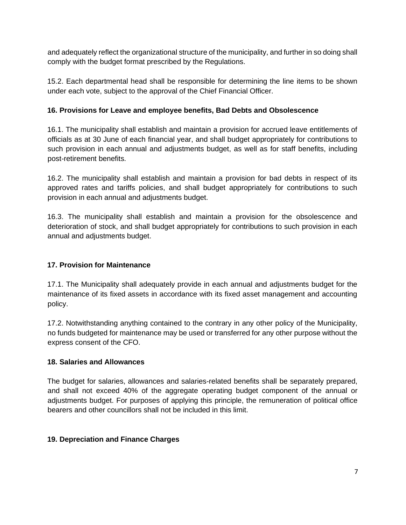and adequately reflect the organizational structure of the municipality, and further in so doing shall comply with the budget format prescribed by the Regulations.

15.2. Each departmental head shall be responsible for determining the line items to be shown under each vote, subject to the approval of the Chief Financial Officer.

## **16. Provisions for Leave and employee benefits, Bad Debts and Obsolescence**

16.1. The municipality shall establish and maintain a provision for accrued leave entitlements of officials as at 30 June of each financial year, and shall budget appropriately for contributions to such provision in each annual and adjustments budget, as well as for staff benefits, including post-retirement benefits.

16.2. The municipality shall establish and maintain a provision for bad debts in respect of its approved rates and tariffs policies, and shall budget appropriately for contributions to such provision in each annual and adjustments budget.

16.3. The municipality shall establish and maintain a provision for the obsolescence and deterioration of stock, and shall budget appropriately for contributions to such provision in each annual and adjustments budget.

## **17. Provision for Maintenance**

17.1. The Municipality shall adequately provide in each annual and adjustments budget for the maintenance of its fixed assets in accordance with its fixed asset management and accounting policy.

17.2. Notwithstanding anything contained to the contrary in any other policy of the Municipality, no funds budgeted for maintenance may be used or transferred for any other purpose without the express consent of the CFO.

## **18. Salaries and Allowances**

The budget for salaries, allowances and salaries-related benefits shall be separately prepared, and shall not exceed 40% of the aggregate operating budget component of the annual or adjustments budget. For purposes of applying this principle, the remuneration of political office bearers and other councillors shall not be included in this limit.

## **19. Depreciation and Finance Charges**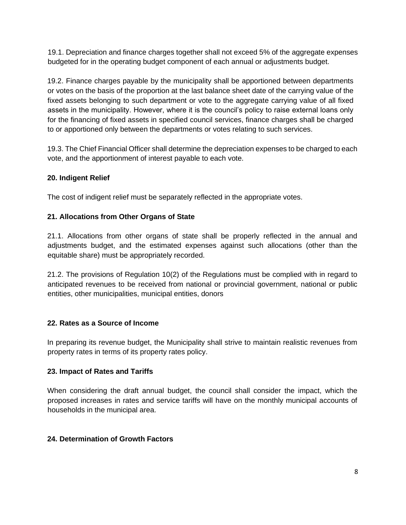19.1. Depreciation and finance charges together shall not exceed 5% of the aggregate expenses budgeted for in the operating budget component of each annual or adjustments budget.

19.2. Finance charges payable by the municipality shall be apportioned between departments or votes on the basis of the proportion at the last balance sheet date of the carrying value of the fixed assets belonging to such department or vote to the aggregate carrying value of all fixed assets in the municipality. However, where it is the council's policy to raise external loans only for the financing of fixed assets in specified council services, finance charges shall be charged to or apportioned only between the departments or votes relating to such services.

19.3. The Chief Financial Officer shall determine the depreciation expenses to be charged to each vote, and the apportionment of interest payable to each vote.

#### **20. Indigent Relief**

The cost of indigent relief must be separately reflected in the appropriate votes.

#### **21. Allocations from Other Organs of State**

21.1. Allocations from other organs of state shall be properly reflected in the annual and adjustments budget, and the estimated expenses against such allocations (other than the equitable share) must be appropriately recorded.

21.2. The provisions of Regulation 10(2) of the Regulations must be complied with in regard to anticipated revenues to be received from national or provincial government, national or public entities, other municipalities, municipal entities, donors

#### **22. Rates as a Source of Income**

In preparing its revenue budget, the Municipality shall strive to maintain realistic revenues from property rates in terms of its property rates policy.

#### **23. Impact of Rates and Tariffs**

When considering the draft annual budget, the council shall consider the impact, which the proposed increases in rates and service tariffs will have on the monthly municipal accounts of households in the municipal area.

#### **24. Determination of Growth Factors**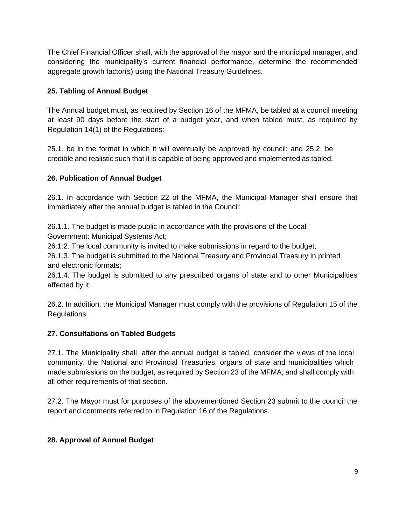The Chief Financial Officer shall, with the approval of the mayor and the municipal manager, and considering the municipality's current financial performance, determine the recommended aggregate growth factor(s) using the National Treasury Guidelines.

## **25. Tabling of Annual Budget**

The Annual budget must, as required by Section 16 of the MFMA, be tabled at a council meeting at least 90 days before the start of a budget year, and when tabled must, as required by Regulation 14(1) of the Regulations:

25.1. be in the format in which it will eventually be approved by council; and 25.2. be credible and realistic such that it is capable of being approved and implemented as tabled.

## **26. Publication of Annual Budget**

26.1. In accordance with Section 22 of the MFMA, the Municipal Manager shall ensure that immediately after the annual budget is tabled in the Council:

26.1.1. The budget is made public in accordance with the provisions of the Local Government: Municipal Systems Act;

26.1.2. The local community is invited to make submissions in regard to the budget;

26.1.3. The budget is submitted to the National Treasury and Provincial Treasury in printed and electronic formats;

26.1.4. The budget is submitted to any prescribed organs of state and to other Municipalities affected by it.

26.2. In addition, the Municipal Manager must comply with the provisions of Regulation 15 of the Regulations.

## **27. Consultations on Tabled Budgets**

27.1. The Municipality shall, after the annual budget is tabled, consider the views of the local community, the National and Provincial Treasuries, organs of state and municipalities which made submissions on the budget, as required by Section 23 of the MFMA, and shall comply with all other requirements of that section.

27.2. The Mayor must for purposes of the abovementioned Section 23 submit to the council the report and comments referred to in Regulation 16 of the Regulations.

## **28. Approval of Annual Budget**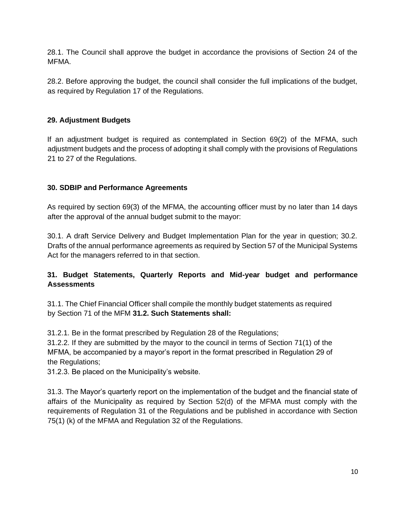28.1. The Council shall approve the budget in accordance the provisions of Section 24 of the MFMA.

28.2. Before approving the budget, the council shall consider the full implications of the budget, as required by Regulation 17 of the Regulations.

## **29. Adjustment Budgets**

If an adjustment budget is required as contemplated in Section 69(2) of the MFMA, such adjustment budgets and the process of adopting it shall comply with the provisions of Regulations 21 to 27 of the Regulations.

#### **30. SDBIP and Performance Agreements**

As required by section 69(3) of the MFMA, the accounting officer must by no later than 14 days after the approval of the annual budget submit to the mayor:

30.1. A draft Service Delivery and Budget Implementation Plan for the year in question; 30.2. Drafts of the annual performance agreements as required by Section 57 of the Municipal Systems Act for the managers referred to in that section.

## **31. Budget Statements, Quarterly Reports and Mid-year budget and performance Assessments**

31.1. The Chief Financial Officer shall compile the monthly budget statements as required by Section 71 of the MFM **31.2. Such Statements shall:** 

31.2.1. Be in the format prescribed by Regulation 28 of the Regulations;

31.2.2. If they are submitted by the mayor to the council in terms of Section 71(1) of the MFMA, be accompanied by a mayor's report in the format prescribed in Regulation 29 of the Regulations;

31.2.3. Be placed on the Municipality's website.

31.3. The Mayor's quarterly report on the implementation of the budget and the financial state of affairs of the Municipality as required by Section 52(d) of the MFMA must comply with the requirements of Regulation 31 of the Regulations and be published in accordance with Section 75(1) (k) of the MFMA and Regulation 32 of the Regulations.